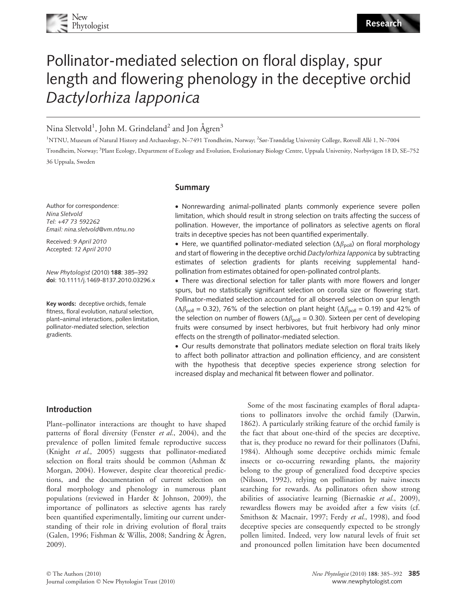# Pollinator-mediated selection on floral display, spur length and flowering phenology in the deceptive orchid Dactylorhiza lapponica

## Nina Sletvold $^{\rm l}$ , John M. Grindeland $^{\rm 2}$  and Jon  $\rm \AA{gern}^{\rm 3}$

<sup>1</sup>NTNU, Museum of Natural History and Archaeology, N-7491 Trondheim, Norway; <sup>2</sup>Sør-Trøndelag University College, Rotvoll Allé 1, N-7004 Trondheim, Norway; <sup>3</sup>Plant Ecology, Department of Ecology and Evolution, Evolutionary Biology Centre, Uppsala University, Norbyvägen 18 D, SE–752 36 Uppsala, Sweden

Author for correspondence: Nina Sletvold Tel: +47 73 592262 Email: nina.sletvold@vm.ntnu.no

Received: 9 April 2010 Accepted: 12 April 2010

New Phytologist (2010) 188: 385–392 doi: 10.1111/j.1469-8137.2010.03296.x

Key words: deceptive orchids, female fitness, floral evolution, natural selection, plant–animal interactions, pollen limitation, pollinator-mediated selection, selection gradients.

#### Summary

• Nonrewarding animal-pollinated plants commonly experience severe pollen limitation, which should result in strong selection on traits affecting the success of pollination. However, the importance of pollinators as selective agents on floral traits in deceptive species has not been quantified experimentally.

• Here, we quantified pollinator-mediated selection ( $\Delta\beta_{\text{pol}}$ ) on floral morphology and start of flowering in the deceptive orchid Dactylorhiza lapponica by subtracting estimates of selection gradients for plants receiving supplemental handpollination from estimates obtained for open-pollinated control plants.

• There was directional selection for taller plants with more flowers and longer spurs, but no statistically significant selection on corolla size or flowering start. Pollinator-mediated selection accounted for all observed selection on spur length ( $\Delta\beta_{\text{poll}}$  = 0.32), 76% of the selection on plant height ( $\Delta\beta_{\text{poll}}$  = 0.19) and 42% of the selection on number of flowers ( $\Delta\beta_{\text{roll}} = 0.30$ ). Sixteen per cent of developing fruits were consumed by insect herbivores, but fruit herbivory had only minor effects on the strength of pollinator-mediated selection.

• Our results demonstrate that pollinators mediate selection on floral traits likely to affect both pollinator attraction and pollination efficiency, and are consistent with the hypothesis that deceptive species experience strong selection for increased display and mechanical fit between flower and pollinator.

## Introduction

Plant–pollinator interactions are thought to have shaped patterns of floral diversity (Fenster et al., 2004), and the prevalence of pollen limited female reproductive success (Knight et al., 2005) suggests that pollinator-mediated selection on floral traits should be common (Ashman & Morgan, 2004). However, despite clear theoretical predictions, and the documentation of current selection on floral morphology and phenology in numerous plant populations (reviewed in Harder & Johnson, 2009), the importance of pollinators as selective agents has rarely been quantified experimentally, limiting our current understanding of their role in driving evolution of floral traits (Galen, 1996; Fishman & Willis, 2008; Sandring & Ágren, 2009).

Some of the most fascinating examples of floral adaptations to pollinators involve the orchid family (Darwin, 1862). A particularly striking feature of the orchid family is the fact that about one-third of the species are deceptive, that is, they produce no reward for their pollinators (Dafni, 1984). Although some deceptive orchids mimic female insects or co-occurring rewarding plants, the majority belong to the group of generalized food deceptive species (Nilsson, 1992), relying on pollination by naive insects searching for rewards. As pollinators often show strong abilities of associative learning (Biernaskie et al., 2009), rewardless flowers may be avoided after a few visits (cf. Smithson & Macnair, 1997; Ferdy et al., 1998), and food deceptive species are consequently expected to be strongly pollen limited. Indeed, very low natural levels of fruit set and pronounced pollen limitation have been documented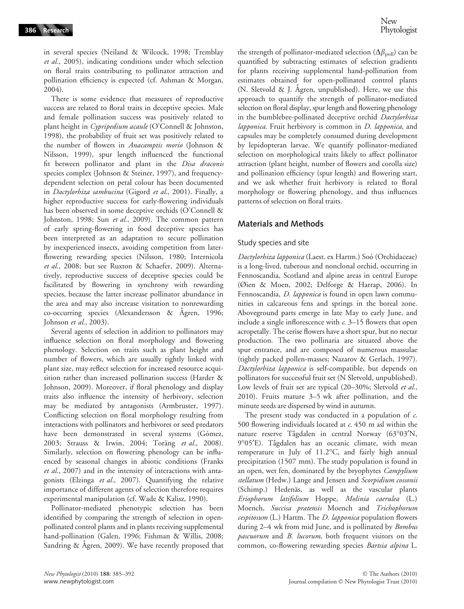in several species (Neiland & Wilcock, 1998; Tremblay et al., 2005), indicating conditions under which selection on floral traits contributing to pollinator attraction and pollination efficiency is expected (cf. Ashman & Morgan, 2004).

There is some evidence that measures of reproductive success are related to floral traits in deceptive species. Male and female pollination success was positively related to plant height in Cypripedium acaule (O'Connell & Johnston, 1998), the probability of fruit set was positively related to the number of flowers in Anacamptis morio (Johnson & Nilsson, 1999), spur length influenced the functional fit between pollinator and plant in the Disa draconis species complex (Johnson & Steiner, 1997), and frequencydependent selection on petal colour has been documented in Dactylorhiza sambucina (Gigord et al., 2001). Finally, a higher reproductive success for early-flowering individuals has been observed in some deceptive orchids (O'Connell & Johnston, 1998; Sun et al., 2009). The common pattern of early spring-flowering in food deceptive species has been interpreted as an adaptation to secure pollination by inexperienced insects, avoiding competition from laterflowering rewarding species (Nilsson, 1980; Internicola et al., 2008; but see Ruxton & Schaefer, 2009). Alternatively, reproductive success of deceptive species could be facilitated by flowering in synchrony with rewarding species, because the latter increase pollinator abundance in the area and may also increase visitation to nonrewarding co-occurring species (Alexandersson & Ågren, 1996; Johnson et al., 2003).

Several agents of selection in addition to pollinators may influence selection on floral morphology and flowering phenology. Selection on traits such as plant height and number of flowers, which are usually tightly linked with plant size, may reflect selection for increased resource acquisition rather than increased pollination success (Harder & Johnson, 2009). Moreover, if floral phenology and display traits also influence the intensity of herbivory, selection may be mediated by antagonists (Armbruster, 1997). Conflicting selection on floral morphology resulting from interactions with pollinators and herbivores or seed predators have been demonstrated in several systems (Gómez, 2003; Strauss & Irwin, 2004; Toräng et al., 2008). Similarly, selection on flowering phenology can be influenced by seasonal changes in abiotic conditions (Franks et al., 2007) and in the intensity of interactions with antagonists (Elzinga et al., 2007). Quantifying the relative importance of different agents of selection therefore requires experimental manipulation (cf. Wade & Kalisz, 1990).

Pollinator-mediated phenotypic selection has been identified by comparing the strength of selection in openpollinated control plants and in plants receiving supplemental hand-pollination (Galen, 1996; Fishman & Willis, 2008; Sandring & Agren, 2009). We have recently proposed that the strength of pollinator-mediated selection ( $\Delta \beta_{\text{poll}}$ ) can be quantified by subtracting estimates of selection gradients for plants receiving supplemental hand-pollination from estimates obtained for open-pollinated control plants (N. Sletvold  $\&$  J. Agren, unpublished). Here, we use this approach to quantify the strength of pollinator-mediated selection on floral display, spur length and flowering phenology in the bumblebee-pollinated deceptive orchid Dactylorhiza lapponica. Fruit herbivory is common in D. lapponica, and capsules may be completely consumed during development by lepidopteran larvae. We quantify pollinator-mediated selection on morphological traits likely to affect pollinator attraction (plant height, number of flowers and corolla size) and pollination efficiency (spur length) and flowering start, and we ask whether fruit herbivory is related to floral morphology or flowering phenology, and thus influences patterns of selection on floral traits.

#### Materials and Methods

#### Study species and site

Dactylorhiza lapponica (Laest. ex Hartm.) Soó (Orchidaceae) is a long-lived, tuberous and nonclonal orchid, occurring in Fennoscandia, Scotland and alpine areas in central Europe (Øien & Moen, 2002; Delforge & Harrap, 2006). In Fennoscandia, *D. lapponica* is found in open lawn communities in calcareous fens and springs in the boreal zone. Aboveground parts emerge in late May to early June, and include a single inflorescence with  $c$ .  $3-15$  flowers that open acropetally. The cerise flowers have a short spur, but no nectar production. The two pollinaria are situated above the spur entrance, and are composed of numerous massulae (tightly packed pollen-masses; Nazarov & Gerlach, 1997). Dactylorhiza lapponica is self-compatible, but depends on pollinators for successful fruit set (N Sletvold, unpublished). Low levels of fruit set are typical (20–30%; Sletvold et al., 2010). Fruits mature 3–5 wk after pollination, and the minute seeds are dispersed by wind in autumn.

The present study was conducted in a population of  $c$ . 500 flowering individuals located at c. 450 m asl within the nature reserve Tågdalen in central Norway (63°03'N, 9°05'E). Tågdalen has an oceanic climate, with mean temperature in July of  $11.2^{\circ}$ C, and fairly high annual precipitation (1507 mm). The study population is found in an open, wet fen, dominated by the bryophytes *Campylium* stellatum (Hedw.) Lange and Jensen and Scorpidium cossonii (Schimp.) Hedenäs, as well as the vascular plants Eriophorum latifolium Hoppe, Molinia caerulea (L.) Moench, Succisa pratensis Moench and Trichophorum  $c$ espitosum (L.) Hartm. The *D. lapponica* population flowers during 2–4 wk from mid June, and is pollinated by Bombus pascuorum and B. lucorum, both frequent visitors on the common, co-flowering rewarding species Bartsia alpina L.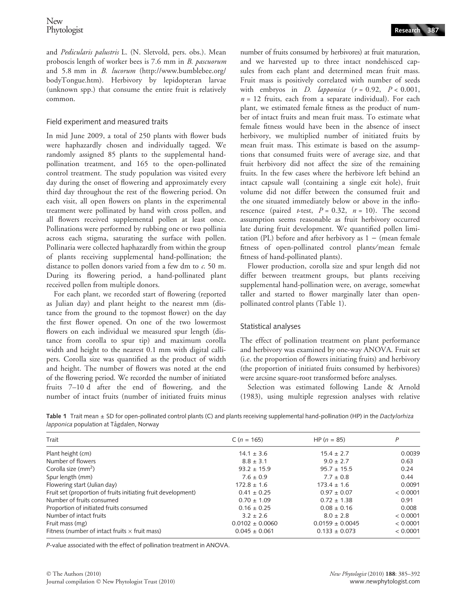and Pedicularis palustris L. (N. Sletvold, pers. obs.). Mean proboscis length of worker bees is 7.6 mm in B. pascuorum and 5.8 mm in B. lucorum (http://www.bumblebee.org/ bodyTongue.htm). Herbivory by lepidopteran larvae (unknown spp.) that consume the entire fruit is relatively common.

#### Field experiment and measured traits

In mid June 2009, a total of 250 plants with flower buds were haphazardly chosen and individually tagged. We randomly assigned 85 plants to the supplemental handpollination treatment, and 165 to the open-pollinated control treatment. The study population was visited every day during the onset of flowering and approximately every third day throughout the rest of the flowering period. On each visit, all open flowers on plants in the experimental treatment were pollinated by hand with cross pollen, and all flowers received supplemental pollen at least once. Pollinations were performed by rubbing one or two pollinia across each stigma, saturating the surface with pollen. Pollinaria were collected haphazardly from within the group of plants receiving supplemental hand-pollination; the distance to pollen donors varied from a few dm to c. 50 m. During its flowering period, a hand-pollinated plant received pollen from multiple donors.

For each plant, we recorded start of flowering (reported as Julian day) and plant height to the nearest mm (distance from the ground to the topmost flower) on the day the first flower opened. On one of the two lowermost flowers on each individual we measured spur length (distance from corolla to spur tip) and maximum corolla width and height to the nearest 0.1 mm with digital callipers. Corolla size was quantified as the product of width and height. The number of flowers was noted at the end of the flowering period. We recorded the number of initiated fruits 7–10 d after the end of flowering, and the number of intact fruits (number of initiated fruits minus number of fruits consumed by herbivores) at fruit maturation, and we harvested up to three intact nondehisced capsules from each plant and determined mean fruit mass. Fruit mass is positively correlated with number of seeds with embryos in *D. lapponica*  $(r = 0.92, P < 0.001,$  $n = 12$  fruits, each from a separate individual). For each plant, we estimated female fitness as the product of number of intact fruits and mean fruit mass. To estimate what female fitness would have been in the absence of insect herbivory, we multiplied number of initiated fruits by mean fruit mass. This estimate is based on the assumptions that consumed fruits were of average size, and that fruit herbivory did not affect the size of the remaining fruits. In the few cases where the herbivore left behind an intact capsule wall (containing a single exit hole), fruit volume did not differ between the consumed fruit and the one situated immediately below or above in the inflorescence (paired *t*-test,  $P = 0.32$ ,  $n = 10$ ). The second assumption seems reasonable as fruit herbivory occurred late during fruit development. We quantified pollen limitation (PL) before and after herbivory as  $1 - (mean female)$ fitness of open-pollinated control plants⁄mean female fitness of hand-pollinated plants).

Flower production, corolla size and spur length did not differ between treatment groups, but plants receiving supplemental hand-pollination were, on average, somewhat taller and started to flower marginally later than openpollinated control plants (Table 1).

## Statistical analyses

The effect of pollination treatment on plant performance and herbivory was examined by one-way ANOVA. Fruit set (i.e. the proportion of flowers initiating fruits) and herbivory (the proportion of initiated fruits consumed by herbivores) were arcsine square-root transformed before analyses.

Selection was estimated following Lande & Arnold (1983), using multiple regression analyses with relative

|                                          | Table 1 Trait mean ± SD for open-pollinated control plants (C) and plants receiving supplemental hand-pollination (HP) in the Dactylorhiza |
|------------------------------------------|--------------------------------------------------------------------------------------------------------------------------------------------|
| lapponica population at Tågdalen, Norway |                                                                                                                                            |

| Trait                                                         | C ( $n = 165$ )     | HP $(n = 85)$       | P        |
|---------------------------------------------------------------|---------------------|---------------------|----------|
| Plant height (cm)                                             | $14.1 \pm 3.6$      | $15.4 \pm 2.7$      | 0.0039   |
| Number of flowers                                             | $8.8 \pm 3.1$       | $9.0 \pm 2.7$       | 0.63     |
| Corolla size ( $mm2$ )                                        | $93.2 \pm 15.9$     | $95.7 \pm 15.5$     | 0.24     |
| Spur length (mm)                                              | $7.6 \pm 0.9$       | $7.7 \pm 0.8$       | 0.44     |
| Flowering start (Julian day)                                  | $172.8 \pm 1.6$     | $173.4 \pm 1.6$     | 0.0091   |
| Fruit set (proportion of fruits initiating fruit development) | $0.41 \pm 0.25$     | $0.97 \pm 0.07$     | < 0.0001 |
| Number of fruits consumed                                     | $0.70 \pm 1.09$     | $0.72 \pm 1.38$     | 0.91     |
| Proportion of initiated fruits consumed                       | $0.16 \pm 0.25$     | $0.08 \pm 0.16$     | 0.008    |
| Number of intact fruits                                       | $3.2 \pm 2.6$       | $8.0 \pm 2.8$       | < 0.0001 |
| Fruit mass (mg)                                               | $0.0102 \pm 0.0060$ | $0.0159 \pm 0.0045$ | < 0.0001 |
| Fitness (number of intact fruits $\times$ fruit mass)         | $0.045 \pm 0.061$   | $0.133 \pm 0.073$   | < 0.0001 |

P-value associated with the effect of pollination treatment in ANOVA.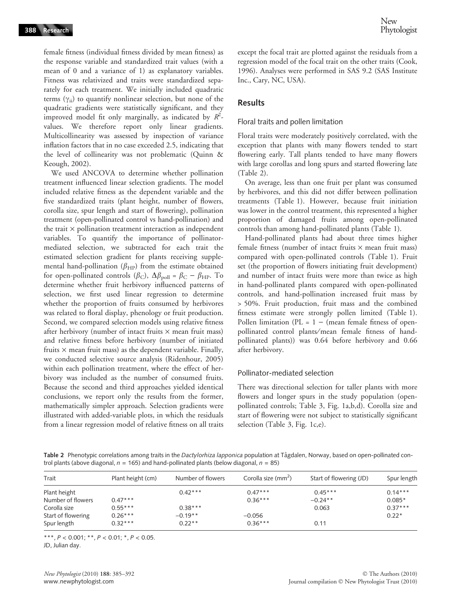female fitness (individual fitness divided by mean fitness) as the response variable and standardized trait values (with a mean of 0 and a variance of 1) as explanatory variables. Fitness was relativized and traits were standardized separately for each treatment. We initially included quadratic terms  $(\gamma_{ii})$  to quantify nonlinear selection, but none of the quadratic gradients were statistically significant, and they improved model fit only marginally, as indicated by  $R^2$ values. We therefore report only linear gradients. Multicollinearity was assessed by inspection of variance inflation factors that in no case exceeded 2.5, indicating that the level of collinearity was not problematic (Quinn & Keough, 2002).

We used ANCOVA to determine whether pollination treatment influenced linear selection gradients. The model included relative fitness as the dependent variable and the five standardized traits (plant height, number of flowers, corolla size, spur length and start of flowering), pollination treatment (open-pollinated control vs hand-pollination) and the trait  $\times$  pollination treatment interaction as independent variables. To quantify the importance of pollinatormediated selection, we subtracted for each trait the estimated selection gradient for plants receiving supplemental hand-pollination  $(\beta_{HP})$  from the estimate obtained for open-pollinated controls ( $\beta_C$ ),  $\Delta\beta_{\text{poll}} = \beta_C - \beta_{\text{HP}}$ . To determine whether fruit herbivory influenced patterns of selection, we first used linear regression to determine whether the proportion of fruits consumed by herbivores was related to floral display, phenology or fruit production. Second, we compared selection models using relative fitness after herbivory (number of intact fruits  $\times$  mean fruit mass) and relative fitness before herbivory (number of initiated fruits  $\times$  mean fruit mass) as the dependent variable. Finally, we conducted selective source analysis (Ridenhour, 2005) within each pollination treatment, where the effect of herbivory was included as the number of consumed fruits. Because the second and third approaches yielded identical conclusions, we report only the results from the former, mathematically simpler approach. Selection gradients were illustrated with added-variable plots, in which the residuals from a linear regression model of relative fitness on all traits except the focal trait are plotted against the residuals from a regression model of the focal trait on the other traits (Cook, 1996). Analyses were performed in SAS 9.2 (SAS Institute Inc., Cary, NC, USA).

#### Results

#### Floral traits and pollen limitation

Floral traits were moderately positively correlated, with the exception that plants with many flowers tended to start flowering early. Tall plants tended to have many flowers with large corollas and long spurs and started flowering late (Table 2).

On average, less than one fruit per plant was consumed by herbivores, and this did not differ between pollination treatments (Table 1). However, because fruit initiation was lower in the control treatment, this represented a higher proportion of damaged fruits among open-pollinated controls than among hand-pollinated plants (Table 1).

Hand-pollinated plants had about three times higher female fitness (number of intact fruits  $\times$  mean fruit mass) compared with open-pollinated controls (Table 1). Fruit set (the proportion of flowers initiating fruit development) and number of intact fruits were more than twice as high in hand-pollinated plants compared with open-pollinated controls, and hand-pollination increased fruit mass by > 50%. Fruit production, fruit mass and the combined fitness estimate were strongly pollen limited (Table 1). Pollen limitation (PL =  $1 - ($ mean female fitness of openpollinated control plants⁄mean female fitness of handpollinated plants)) was 0.64 before herbivory and 0.66 after herbivory.

#### Pollinator-mediated selection

There was directional selection for taller plants with more flowers and longer spurs in the study population (openpollinated controls; Table 3, Fig. 1a,b,d). Corolla size and start of flowering were not subject to statistically significant selection (Table 3, Fig. 1c,e).

Table 2 Phenotypic correlations among traits in the Dactylorhiza lapponica population at Tågdalen, Norway, based on open-pollinated control plants (above diagonal,  $n = 165$ ) and hand-pollinated plants (below diagonal,  $n = 85$ )

| Trait              | Plant height (cm) | Number of flowers | Corolla size ( $mm2$ ) | Start of flowering (JD) | Spur length |
|--------------------|-------------------|-------------------|------------------------|-------------------------|-------------|
| Plant height       |                   | $0.42***$         | $0.47***$              | $0.45***$               | $0.14***$   |
| Number of flowers  | $0.47***$         |                   | $0.36***$              | $-0.24**$               | $0.085*$    |
| Corolla size       | $0.55***$         | $0.38***$         |                        | 0.063                   | $0.37***$   |
| Start of flowering | $0.26***$         | $-0.19**$         | $-0.056$               |                         | $0.22*$     |
| Spur length        | $0.32***$         | $0.22**$          | $0.36***$              | 0.11                    |             |

\*\*\*,  $P < 0.001$ ; \*\*,  $P < 0.01$ ; \*,  $P < 0.05$ .

JD, Julian day.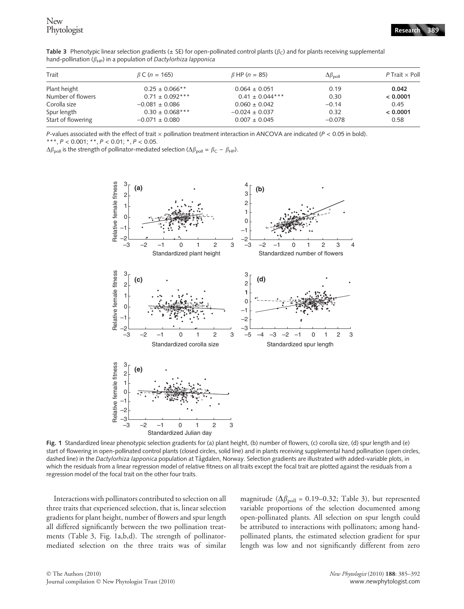

| Trait              | $\beta$ C (n = 165)  | $\beta$ HP ( <i>n</i> = 85) | $\Delta\beta_{\rm{boll}}$ | $P$ Trait $\times$ Poll |  |  |  |
|--------------------|----------------------|-----------------------------|---------------------------|-------------------------|--|--|--|
| Plant height       | $0.25 \pm 0.066$ **  | $0.064 \pm 0.051$           | 0.19                      | 0.042                   |  |  |  |
| Number of flowers  | $0.71 \pm 0.092$ *** | $0.41 \pm 0.044***$         | 0.30                      | < 0.0001                |  |  |  |
| Corolla size       | $-0.081 \pm 0.086$   | $0.060 \pm 0.042$           | $-0.14$                   | 0.45                    |  |  |  |
| Spur length        | $0.30 \pm 0.068$ *** | $-0.024 \pm 0.037$          | 0.32                      | < 0.0001                |  |  |  |
| Start of flowering | $-0.071 \pm 0.080$   | $0.007 \pm 0.045$           | $-0.078$                  | 0.58                    |  |  |  |

Table 3 Phenotypic linear selection gradients ( $\pm$  SE) for open-pollinated control plants ( $\beta_C$ ) and for plants receiving supplemental hand-pollination ( $\beta_{HP}$ ) in a population of Dactylorhiza lapponica

P-values associated with the effect of trait  $\times$  pollination treatment interaction in ANCOVA are indicated ( $P < 0.05$  in bold). \*\*\*,  $P < 0.001$ ; \*\*,  $P < 0.01$ ; \*,  $P < 0.05$ .

 $\Delta\beta_{\text{poll}}$  is the strength of pollinator-mediated selection ( $\Delta\beta_{\text{poll}} = \beta_C - \beta_{\text{HP}}$ ).



Fig. 1 Standardized linear phenotypic selection gradients for (a) plant height, (b) number of flowers, (c) corolla size, (d) spur length and (e) start of flowering in open-pollinated control plants (closed circles, solid line) and in plants receiving supplemental hand pollination (open circles, dashed line) in the Dactylorhiza lapponica population at Tågdalen, Norway. Selection gradients are illustrated with added-variable plots, in which the residuals from a linear regression model of relative fitness on all traits except the focal trait are plotted against the residuals from a regression model of the focal trait on the other four traits.

Interactions with pollinators contributed to selection on all three traits that experienced selection, that is, linear selection gradients for plant height, number of flowers and spur length all differed significantly between the two pollination treatments (Table 3, Fig. 1a,b,d). The strength of pollinatormediated selection on the three traits was of similar magnitude ( $\Delta\beta_{\text{poll}}$  = 0.19–0.32; Table 3), but represented variable proportions of the selection documented among open-pollinated plants. All selection on spur length could be attributed to interactions with pollinators; among handpollinated plants, the estimated selection gradient for spur length was low and not significantly different from zero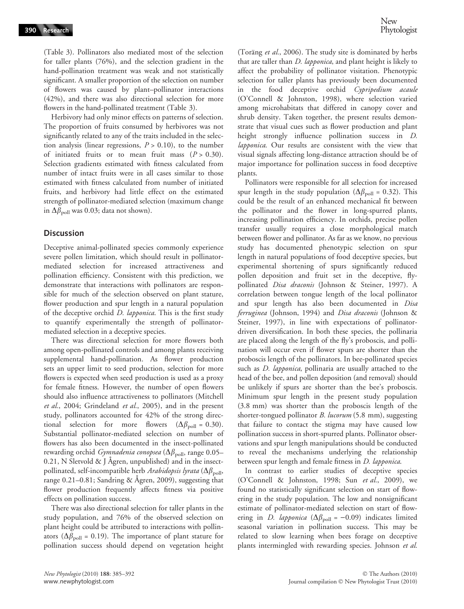(Table 3). Pollinators also mediated most of the selection for taller plants (76%), and the selection gradient in the hand-pollination treatment was weak and not statistically significant. A smaller proportion of the selection on number of flowers was caused by plant–pollinator interactions (42%), and there was also directional selection for more flowers in the hand-pollinated treatment (Table 3).

Herbivory had only minor effects on patterns of selection. The proportion of fruits consumed by herbivores was not significantly related to any of the traits included in the selection analysis (linear regressions,  $P > 0.10$ ), to the number of initiated fruits or to mean fruit mass  $(P > 0.30)$ . Selection gradients estimated with fitness calculated from number of intact fruits were in all cases similar to those estimated with fitness calculated from number of initiated fruits, and herbivory had little effect on the estimated strength of pollinator-mediated selection (maximum change in  $\Delta\beta_{\rm poll}$  was 0.03; data not shown).

#### **Discussion**

Deceptive animal-pollinated species commonly experience severe pollen limitation, which should result in pollinatormediated selection for increased attractiveness and pollination efficiency. Consistent with this prediction, we demonstrate that interactions with pollinators are responsible for much of the selection observed on plant stature, flower production and spur length in a natural population of the deceptive orchid D. lapponica. This is the first study to quantify experimentally the strength of pollinatormediated selection in a deceptive species.

There was directional selection for more flowers both among open-pollinated controls and among plants receiving supplemental hand-pollination. As flower production sets an upper limit to seed production, selection for more flowers is expected when seed production is used as a proxy for female fitness. However, the number of open flowers should also influence attractiveness to pollinators (Mitchell et al., 2004; Grindeland et al., 2005), and in the present study, pollinators accounted for 42% of the strong directional selection for more flowers  $(\Delta \beta_{\text{poll}} = 0.30)$ . Substantial pollinator-mediated selection on number of flowers has also been documented in the insect-pollinated rewarding orchid Gymnadenia conopsea ( $\Delta\beta_{\rm{pol}}$ , range 0.05– 0.21, N Sletvold  $&$  J Agren, unpublished) and in the insectpollinated, self-incompatible herb Arabidopsis lyrata ( $\Delta\beta_{\rm{poll}}$ , range  $0.21-0.81$ ; Sandring & Ågren, 2009), suggesting that flower production frequently affects fitness via positive effects on pollination success.

There was also directional selection for taller plants in the study population, and 76% of the observed selection on plant height could be attributed to interactions with pollinators ( $\Delta\beta_{\text{poll}}$  = 0.19). The importance of plant stature for pollination success should depend on vegetation height

(Torang *et al.*, 2006). The study site is dominated by herbs that are taller than *D. lapponica*, and plant height is likely to affect the probability of pollinator visitation. Phenotypic selection for taller plants has previously been documented in the food deceptive orchid Cypripedium acaule (O'Connell & Johnston, 1998), where selection varied among microhabitats that differed in canopy cover and shrub density. Taken together, the present results demonstrate that visual cues such as flower production and plant height strongly influence pollination success in D. lapponica. Our results are consistent with the view that visual signals affecting long-distance attraction should be of major importance for pollination success in food deceptive plants.

Pollinators were responsible for all selection for increased spur length in the study population ( $\Delta\beta_{\text{roll}} = 0.32$ ). This could be the result of an enhanced mechanical fit between the pollinator and the flower in long-spurred plants, increasing pollination efficiency. In orchids, precise pollen transfer usually requires a close morphological match between flower and pollinator. As far as we know, no previous study has documented phenotypic selection on spur length in natural populations of food deceptive species, but experimental shortening of spurs significantly reduced pollen deposition and fruit set in the deceptive, flypollinated Disa draconis (Johnson & Steiner, 1997). A correlation between tongue length of the local pollinator and spur length has also been documented in Disa ferruginea (Johnson, 1994) and Disa draconis (Johnson & Steiner, 1997), in line with expectations of pollinatordriven diversification. In both these species, the pollinaria are placed along the length of the fly's proboscis, and pollination will occur even if flower spurs are shorter than the proboscis length of the pollinators. In bee-pollinated species such as *D. lapponica*, pollinaria are usually attached to the head of the bee, and pollen deposition (and removal) should be unlikely if spurs are shorter than the bee's proboscis. Minimum spur length in the present study population (3.8 mm) was shorter than the proboscis length of the shorter-tongued pollinator *B. lucorum* (5.8 mm), suggesting that failure to contact the stigma may have caused low pollination success in short-spurred plants. Pollinator observations and spur length manipulations should be conducted to reveal the mechanisms underlying the relationship between spur length and female fitness in *D. lapponica*.

In contrast to earlier studies of deceptive species (O'Connell & Johnston, 1998; Sun et al., 2009), we found no statistically significant selection on start of flowering in the study population. The low and nonsignificant estimate of pollinator-mediated selection on start of flowering in *D. lapponica* ( $\Delta\beta_{\text{poll}} = -0.09$ ) indicates limited seasonal variation in pollination success. This may be related to slow learning when bees forage on deceptive plants intermingled with rewarding species. Johnson et al.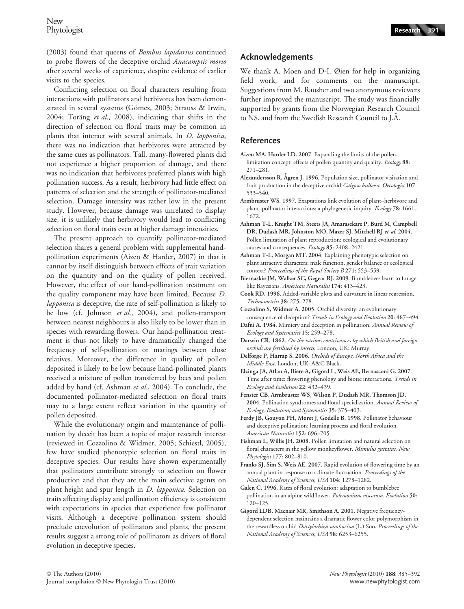(2003) found that queens of Bombus lapidarius continued to probe flowers of the deceptive orchid Anacamptis morio after several weeks of experience, despite evidence of earlier visits to the species.

Conflicting selection on floral characters resulting from interactions with pollinators and herbivores has been demonstrated in several systems (Gómez, 2003; Strauss & Irwin, 2004; Torang et al., 2008), indicating that shifts in the direction of selection on floral traits may be common in plants that interact with several animals. In D. lapponica, there was no indication that herbivores were attracted by the same cues as pollinators. Tall, many-flowered plants did not experience a higher proportion of damage, and there was no indication that herbivores preferred plants with high pollination success. As a result, herbivory had little effect on patterns of selection and the strength of pollinator-mediated selection. Damage intensity was rather low in the present study. However, because damage was unrelated to display size, it is unlikely that herbivory would lead to conflicting selection on floral traits even at higher damage intensities.

The present approach to quantify pollinator-mediated selection shares a general problem with supplemental handpollination experiments (Aizen & Harder, 2007) in that it cannot by itself distinguish between effects of trait variation on the quantity and on the quality of pollen received. However, the effect of our hand-pollination treatment on the quality component may have been limited. Because D. lapponica is deceptive, the rate of self-pollination is likely to be low (cf. Johnson et al., 2004), and pollen-transport between nearest neighbours is also likely to be lower than in species with rewarding flowers. Our hand-pollination treatment is thus not likely to have dramatically changed the frequency of self-pollination or matings between close relatives. Moreover, the difference in quality of pollen deposited is likely to be low because hand-pollinated plants received a mixture of pollen transferred by bees and pollen added by hand (cf. Ashman et al., 2004). To conclude, the documented pollinator-mediated selection on floral traits may to a large extent reflect variation in the quantity of pollen deposited.

While the evolutionary origin and maintenance of pollination by deceit has been a topic of major research interest (reviewed in Cozzolino & Widmer, 2005; Schiestl, 2005), few have studied phenotypic selection on floral traits in deceptive species. Our results have shown experimentally that pollinators contribute strongly to selection on flower production and that they are the main selective agents on plant height and spur length in *D. lapponica*. Selection on traits affecting display and pollination efficiency is consistent with expectations in species that experience few pollinator visits. Although a deceptive pollination system should preclude coevolution of pollinators and plants, the present results suggest a strong role of pollinators as drivers of floral evolution in deceptive species.

## Acknowledgements

We thank A. Moen and D-I. Øien for help in organizing field work, and for comments on the manuscript. Suggestions from M. Rausher and two anonymous reviewers further improved the manuscript. The study was financially supported by grants from the Norwegian Research Council to NS, and from the Swedish Research Council to J.Å.

#### References

- Aizen MA, Harder LD. 2007. Expanding the limits of the pollenlimitation concept: effects of pollen quantity and quality. Ecology 88: 271–281.
- Alexandersson R, Ågren J. 1996. Population size, pollinator visitation and fruit production in the deceptive orchid Calypso bulbosa. Oecologia 107: 533–540.
- Armbruster WS. 1997. Exaptations link evolution of plant–herbivore and plant–pollinator interactions: a phylogenetic inquiry. Ecology 78: 1661– 1672.
- Ashman T-L, Knight TM, Steets JA, Amarasekare P, Burd M, Campbell DR, Dudash MR, Johnston MO, Mazer SJ, Mitchell RJ et al. 2004. Pollen limitation of plant reproduction: ecological and evolutionary causes and consequences. Ecology 85: 2408–2421.
- Ashman T-L, Morgan MT. 2004. Explaining phenotypic selection on plant attractive characters: male function, gender balance or ecological context? Proceedings of the Royal Society B 271: 553–559.
- Biernaskie JM, Walker SC, Gegear RJ. 2009. Bumblebees learn to forage like Bayesians. American Naturalist 174: 413–423.
- Cook RD. 1996. Added-variable plots and curvature in linear regression. Technometrics 38: 275–278.
- Cozzolino S, Widmer A. 2005. Orchid diversity: an evolutionary consequence of deception? Trends in Ecology and Evolution 20: 487–494.
- Dafni A. 1984. Mimicry and deception in pollination. Annual Review of Ecology and Systematics 15: 259–278.
- Darwin CR. 1862. On the various contrivances by which British and foreign orchids are fertilised by insects. London, UK: Murray.
- Delforge P, Harrap S. 2006. Orchids of Europe, North Africa and the Middle East. London, UK: A&C Black.
- Elzinga JA, Atlan A, Biere A, Gigord L, Weis AE, Bernasconi G. 2007. Time after time: flowering phenology and biotic interactions. Trends in Ecology and Evolution 22: 432–439.
- Fenster CB, Armbruster WS, Wilson P, Dudash MR, Thomson JD. 2004. Pollination syndromes and floral specialization. Annual Review of Ecology, Evolution, and Systematics 35: 375–403.
- Ferdy JB, Gouyon PH, Moret J, Godelle B. 1998. Pollinator behaviour and deceptive pollination: learning process and floral evolution. American Naturalist 152: 696–705.
- Fishman L, Willis JH. 2008. Pollen limitation and natural selection on floral characters in the yellow monkeyflower, Mimulus guttatus. New Phytologist 177: 802–810.
- Franks SJ, Sim S, Weis AE. 2007. Rapid evolution of flowering time by an annual plant in response to a climate fluctuation. Proceedings of the National Academy of Sciences, USA 104: 1278–1282.
- Galen C. 1996. Rates of floral evolution: adaptation to bumblebee pollination in an alpine wildflower, Polemonium viscosum. Evolution 50: 120–125.
- Gigord LDB, Macnair MR, Smithson A. 2001. Negative frequencydependent selection maintains a dramatic flower color polymorphism in the rewardless orchid Dactylorhiza sambucina (L.) Soo. Proceedings of the National Academy of Sciences, USA 98: 6253–6255.